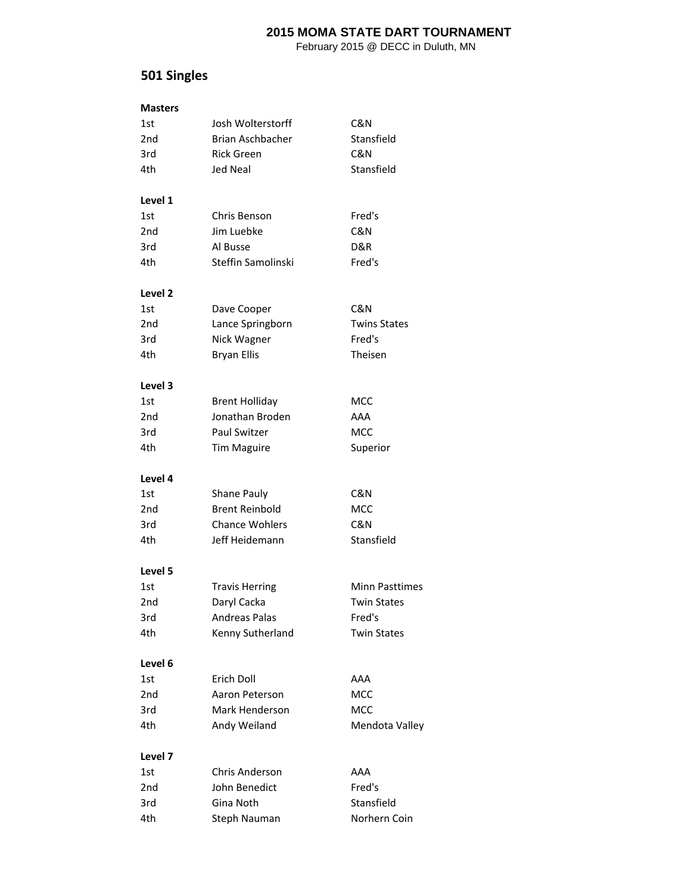February 2015 @ DECC in Duluth, MN

# **501 Singles**

| <b>Masters</b>  |                       |                       |
|-----------------|-----------------------|-----------------------|
| 1st             | Josh Wolterstorff     | C&N                   |
| 2 <sub>nd</sub> | Brian Aschbacher      | Stansfield            |
| 3rd             | Rick Green            | C&N                   |
| 4th             | <b>Jed Neal</b>       | Stansfield            |
| Level 1         |                       |                       |
| 1st             | Chris Benson          | Fred's                |
| 2nd             | Jim Luebke            | C&N                   |
| 3rd             | Al Busse              | D&R                   |
| 4th             | Steffin Samolinski    | Fred's                |
| Level 2         |                       |                       |
| 1st             | Dave Cooper           | C&N                   |
| 2 <sub>nd</sub> | Lance Springborn      | <b>Twins States</b>   |
| 3rd             | Nick Wagner           | Fred's                |
| 4th             | <b>Bryan Ellis</b>    | Theisen               |
| Level 3         |                       |                       |
| 1st             | <b>Brent Holliday</b> | MCC                   |
| 2 <sub>nd</sub> | Jonathan Broden       | AAA                   |
| 3rd             | Paul Switzer          | MCC                   |
| 4th             | <b>Tim Maguire</b>    | Superior              |
| Level 4         |                       |                       |
| 1st             | Shane Pauly           | C&N                   |
| 2nd             | <b>Brent Reinbold</b> | MCC                   |
| 3rd             | <b>Chance Wohlers</b> | C&N                   |
| 4th             | Jeff Heidemann        | Stansfield            |
| Level 5         |                       |                       |
| 1st             | <b>Travis Herring</b> | <b>Minn Pasttimes</b> |
| 2nd             | Daryl Cacka           | <b>Twin States</b>    |
| 3rd             | <b>Andreas Palas</b>  | Fred's                |
| 4th             | Kenny Sutherland      | <b>Twin States</b>    |
| Level 6         |                       |                       |
| 1st             | Erich Doll            | AAA                   |
| 2nd             | Aaron Peterson        | MCC                   |
| 3rd             | Mark Henderson        | MCC                   |
| 4th             | Andy Weiland          | Mendota Valley        |
| Level 7         |                       |                       |
| 1st             | Chris Anderson        | AAA                   |
| 2 <sub>nd</sub> | John Benedict         | Fred's                |
| 3rd             | Gina Noth             | Stansfield            |
| 4th             | Steph Nauman          | Norhern Coin          |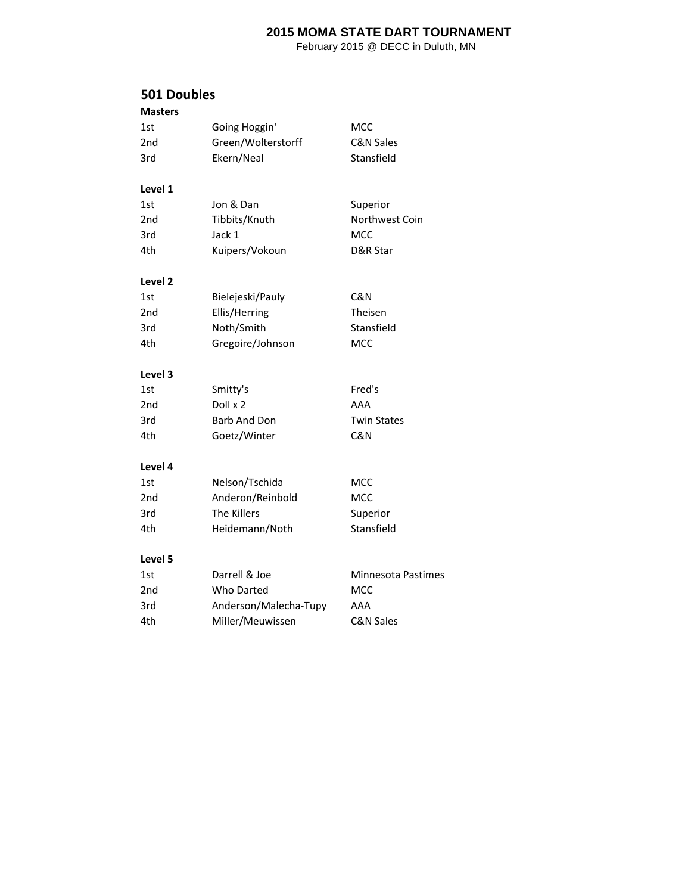February 2015 @ DECC in Duluth, MN

#### **501 Doubles**

| <b>Masters</b>  |                       |                           |
|-----------------|-----------------------|---------------------------|
| 1st             | Going Hoggin'         | MCC                       |
| 2 <sub>nd</sub> | Green/Wolterstorff    | <b>C&amp;N Sales</b>      |
| 3rd             | Ekern/Neal            | Stansfield                |
|                 |                       |                           |
| Level 1         |                       |                           |
| 1st             | Jon & Dan             | Superior                  |
| 2 <sub>nd</sub> | Tibbits/Knuth         | Northwest Coin            |
| 3rd             | Jack 1                | <b>MCC</b>                |
| 4th             | Kuipers/Vokoun        | D&R Star                  |
| Level 2         |                       |                           |
| 1st             | Bielejeski/Pauly      | C&N                       |
| 2nd             | Ellis/Herring         | Theisen                   |
| 3rd             | Noth/Smith            | Stansfield                |
| 4th             | Gregoire/Johnson      | <b>MCC</b>                |
| Level 3         |                       |                           |
| 1st             | Smitty's              | Fred's                    |
| 2nd             | Doll x 2              | AAA                       |
| 3rd             | <b>Barb And Don</b>   | <b>Twin States</b>        |
| 4th             | Goetz/Winter          | C&N                       |
|                 |                       |                           |
| Level 4         |                       |                           |
| 1st             | Nelson/Tschida        | <b>MCC</b>                |
| 2 <sub>nd</sub> | Anderon/Reinbold      | <b>MCC</b>                |
| 3rd             | The Killers           | Superior                  |
| 4th             | Heidemann/Noth        | Stansfield                |
| Level 5         |                       |                           |
| 1st             | Darrell & Joe         | <b>Minnesota Pastimes</b> |
| 2nd             | Who Darted            | MCC                       |
| 3rd             | Anderson/Malecha-Tupy | AAA                       |
| 4th             | Miller/Meuwissen      | <b>C&amp;N Sales</b>      |
|                 |                       |                           |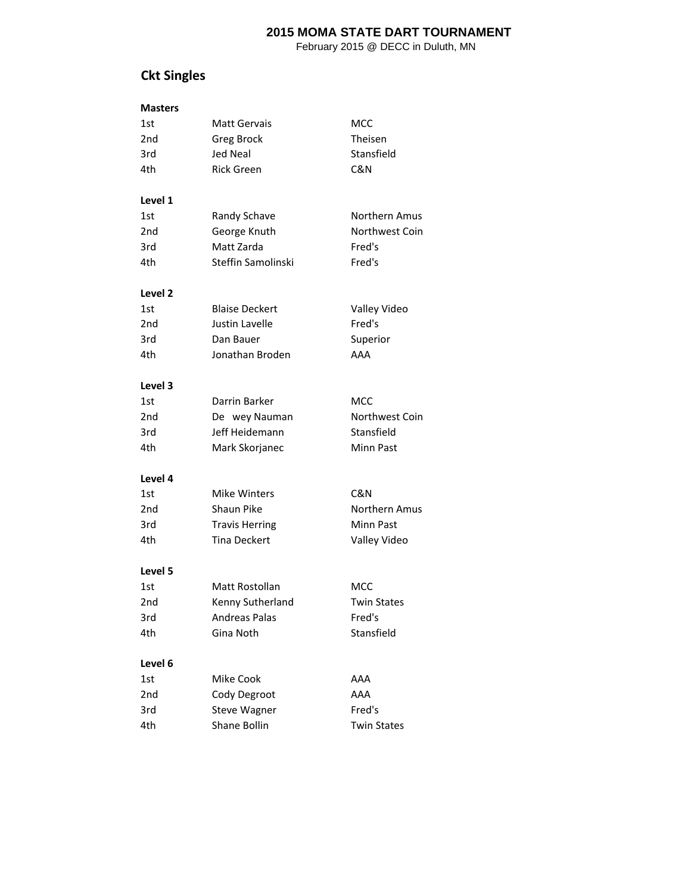February 2015 @ DECC in Duluth, MN

# **Ckt Singles**

| <b>Masters</b> |
|----------------|
|----------------|

| 1st                | <b>Matt Gervais</b>   | MCC                |
|--------------------|-----------------------|--------------------|
| 2 <sub>nd</sub>    | <b>Greg Brock</b>     | Theisen            |
| 3rd                | Jed Neal              | Stansfield         |
| 4th                | <b>Rick Green</b>     | C&N                |
|                    |                       |                    |
| Level 1            |                       |                    |
| 1st                | Randy Schave          | Northern Amus      |
| 2 <sub>nd</sub>    | George Knuth          | Northwest Coin     |
| 3rd                | Matt Zarda            | Fred's             |
| 4th                | Steffin Samolinski    | Fred's             |
| Level <sub>2</sub> |                       |                    |
| 1st                | <b>Blaise Deckert</b> | Valley Video       |
| 2nd                | <b>Justin Lavelle</b> | Fred's             |
| 3rd                | Dan Bauer             | Superior           |
| 4th                | Jonathan Broden       | AAA                |
|                    |                       |                    |
| Level 3            |                       |                    |
| 1st                | Darrin Barker         | <b>MCC</b>         |
| 2nd                | De wey Nauman         | Northwest Coin     |
| 3rd                | Jeff Heidemann        | Stansfield         |
| 4th                | Mark Skorjanec        | <b>Minn Past</b>   |
|                    |                       |                    |
| Level 4            |                       |                    |
| 1st                | Mike Winters          | C&N                |
| 2 <sub>nd</sub>    | <b>Shaun Pike</b>     | Northern Amus      |
| 3rd                | <b>Travis Herring</b> | <b>Minn Past</b>   |
| 4th                | <b>Tina Deckert</b>   | Valley Video       |
| Level 5            |                       |                    |
| 1st                | Matt Rostollan        | MCC                |
| 2 <sub>nd</sub>    | Kenny Sutherland      | <b>Twin States</b> |
| 3rd                | <b>Andreas Palas</b>  | Fred's             |
| 4th                | Gina Noth             | Stansfield         |
|                    |                       |                    |
| Level 6            |                       |                    |
| 1st                | Mike Cook             | AAA                |
| 2 <sub>nd</sub>    | Cody Degroot          | AAA                |
| 3rd                | <b>Steve Wagner</b>   | Fred's             |
| 4th                | Shane Bollin          | <b>Twin States</b> |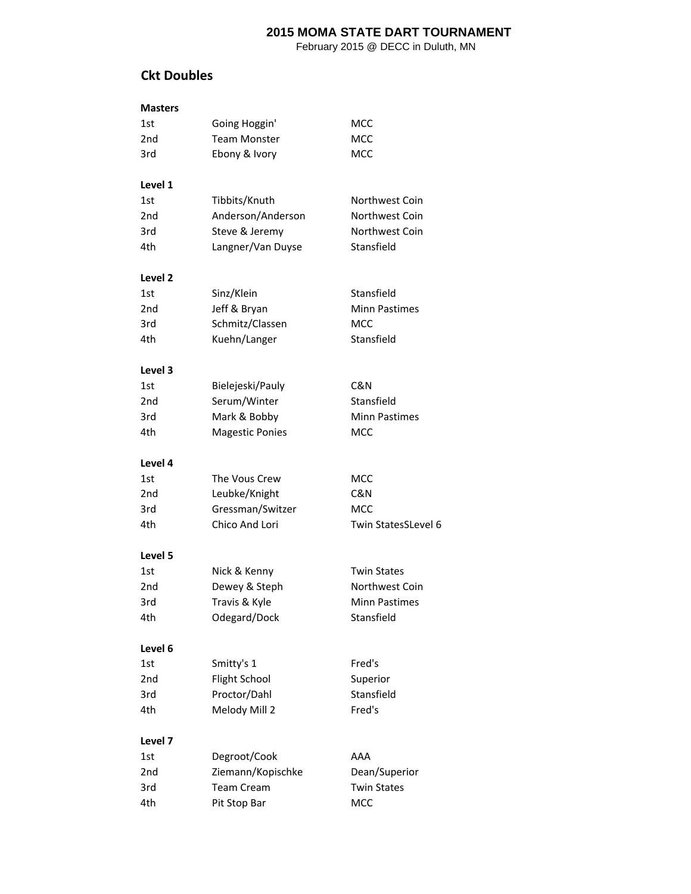February 2015 @ DECC in Duluth, MN

#### **Ckt Doubles**

#### **Masters**

| 1st     | Going Hoggin'          | MCC                  |
|---------|------------------------|----------------------|
| 2nd     | <b>Team Monster</b>    | MCC                  |
| 3rd     | Ebony & Ivory          | MCC                  |
| Level 1 |                        |                      |
| 1st     | Tibbits/Knuth          | Northwest Coin       |
| 2nd     | Anderson/Anderson      | Northwest Coin       |
| 3rd     | Steve & Jeremy         | Northwest Coin       |
| 4th     | Langner/Van Duyse      | Stansfield           |
| Level 2 |                        |                      |
| 1st     | Sinz/Klein             | Stansfield           |
| 2nd     | Jeff & Bryan           | <b>Minn Pastimes</b> |
| 3rd     | Schmitz/Classen        | <b>MCC</b>           |
| 4th.    | Kuehn/Langer           | Stansfield           |
| Level 3 |                        |                      |
| 1st     | Bielejeski/Pauly       | C&N                  |
| 2nd     | Serum/Winter           | Stansfield           |
| 3rd     | Mark & Bobby           | <b>Minn Pastimes</b> |
| 4th     | <b>Magestic Ponies</b> | <b>MCC</b>           |
| Level 4 |                        |                      |
| 1st     | The Vous Crew          | MCC                  |
| 2nd     | Leubke/Knight          | C&N                  |
| 3rd     | Gressman/Switzer       | MCC                  |
| 4th     | Chico And Lori         | Twin StatesSLevel 6  |
| Level 5 |                        |                      |
| 1st     | Nick & Kenny           | <b>Twin States</b>   |
| 2nd     | Dewey & Steph          | Northwest Coin       |
| 3rd     | Travis & Kyle          | <b>Minn Pastimes</b> |
| 4th     | Odegard/Dock           | Stansfield           |
| Level 6 |                        |                      |
| 1st     | Smitty's 1             | Fred's               |
| 2nd     | <b>Flight School</b>   | Superior             |
| 3rd     | Proctor/Dahl           | Stansfield           |
| 4th     | Melody Mill 2          | Fred's               |
| Level 7 |                        |                      |
| 1st     | Degroot/Cook           | AAA                  |
| 2nd     | Ziemann/Kopischke      | Dean/Superior        |
| 3rd     | <b>Team Cream</b>      | <b>Twin States</b>   |
| 4th     | Pit Stop Bar           | MCC                  |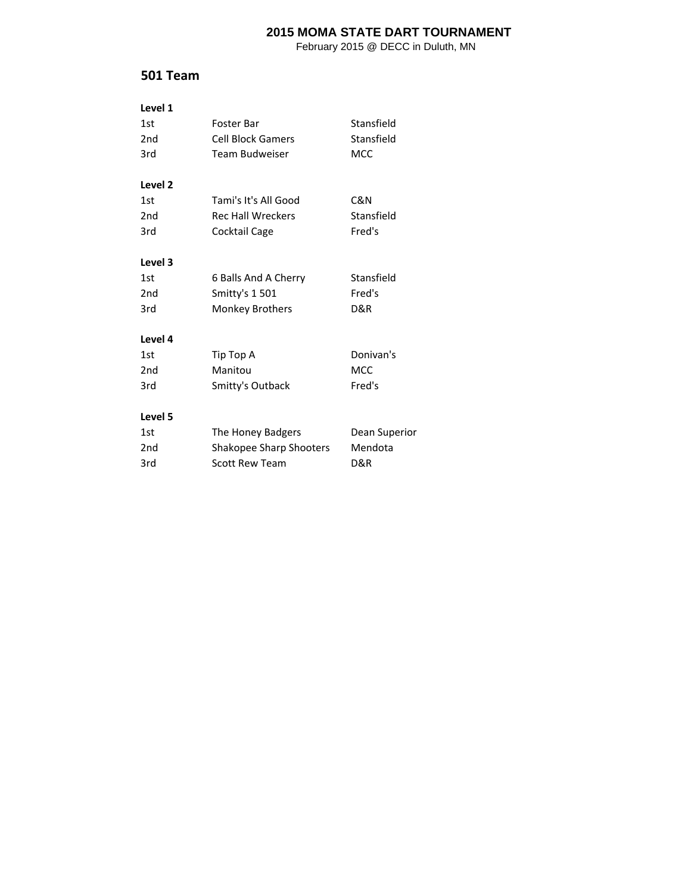February 2015 @ DECC in Duluth, MN

### **501 Team**

| Level 1         |                          |               |
|-----------------|--------------------------|---------------|
| 1st             | Foster Bar               | Stansfield    |
| 2 <sub>nd</sub> | <b>Cell Block Gamers</b> | Stansfield    |
| 3rd             | Team Budweiser           | <b>MCC</b>    |
| Level 2         |                          |               |
| 1st             | Tami's It's All Good     | C&N           |
| 2 <sub>nd</sub> | <b>Rec Hall Wreckers</b> | Stansfield    |
| 3rd             | Cocktail Cage            | Fred's        |
| Level 3         |                          |               |
| 1st             | 6 Balls And A Cherry     | Stansfield    |
| 2 <sub>nd</sub> | Smitty's 1 501           | Fred's        |
| 3rd             | <b>Monkey Brothers</b>   | D&R           |
| Level 4         |                          |               |
| 1st             | Tip Top A                | Donivan's     |
| 2 <sub>nd</sub> | Manitou                  | <b>MCC</b>    |
| 3rd             | Smitty's Outback         | Fred's        |
| Level 5         |                          |               |
| 1st             | The Honey Badgers        | Dean Superior |
| 2 <sub>nd</sub> | Shakopee Sharp Shooters  | Mendota       |
| 3rd             | <b>Scott Rew Team</b>    | D&R           |